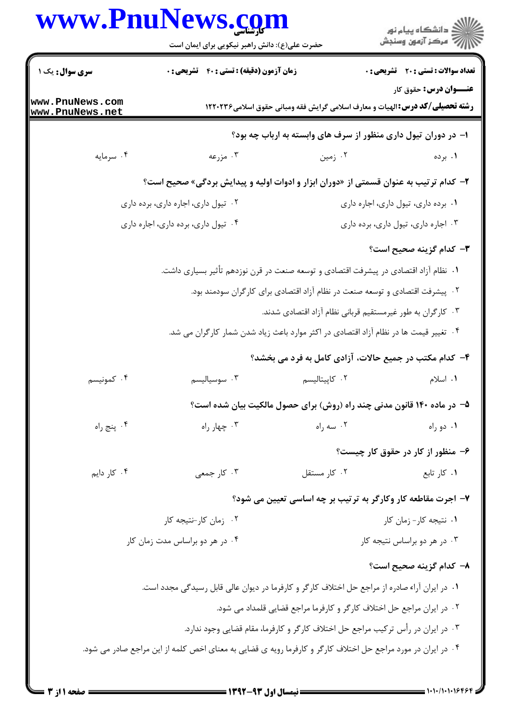## **WWW PniiNews com**

|                                     | www.PnuNews.com<br>حضرت علی(ع): دانش راهبر نیکویی برای ایمان است                                             |                                                                                       | ان دانشگاه پيام نور<br>اس مرکز آزمون وسنجش   |  |
|-------------------------------------|--------------------------------------------------------------------------------------------------------------|---------------------------------------------------------------------------------------|----------------------------------------------|--|
| <b>سری سوال :</b> یک ۱              | <b>زمان آزمون (دقیقه) : تستی : 40 قشریحی : 0</b>                                                             |                                                                                       | <b>تعداد سوالات : تستی : 20 - تشریحی : 0</b> |  |
| www.PnuNews.com<br>www.PnuNews.net  |                                                                                                              | <b>رشته تحصیلی/گد درس:</b> الهیات و معارف اسلامی گرایش فقه ومبانی حقوق اسلامی۱۲۲۰۲۳۶  | <b>عنـــوان درس:</b> حقوق کار                |  |
|                                     |                                                                                                              | ا– در دوران تیول داری منظور از سرف های وابسته به ارباب چه بود؟                        |                                              |  |
| ۰۴ سرمايه                           | ۰۳ مزرعه                                                                                                     | ۰۲ زمین                                                                               | ۰۱ برده                                      |  |
|                                     | ۲- کدام ترتیب به عنوان قسمتی از «دوران ابزار و ادوات اولیه و پیدایش بردگی» صحیح است؟                         |                                                                                       |                                              |  |
| ۰۲ تیول داری، اجاره داری، برده داری |                                                                                                              |                                                                                       | ٠١. برده دارى، تيول دارى، اجاره دارى         |  |
| ۰۴ تیول داری، برده داری، اجاره داری |                                                                                                              |                                                                                       | ۰۳ اجاره داری، تیول داری، برده داری          |  |
|                                     |                                                                                                              |                                                                                       | <b>۳</b> – کدام گزینه صحیح است؟              |  |
|                                     | ١.  نظام آزاد اقتصادي در پيشرفت اقتصادي و توسعه صنعت در قرن نوزدهم تأثير بسياري داشت.                        |                                                                                       |                                              |  |
|                                     |                                                                                                              | ۰۲ پیشرفت اقتصادی و توسعه صنعت در نظام آزاد اقتصادی برای کارگران سودمند بود.          |                                              |  |
|                                     |                                                                                                              | ۰۳ کارگران به طور غیرمستقیم قربانی نظام آزاد اقتصادی شدند.                            |                                              |  |
|                                     |                                                                                                              | ۰۴ تغییر قیمت ها در نظام آزاد اقتصادی در اکثر موارد باعث زیاد شدن شمار کارگران می شد. |                                              |  |
|                                     |                                                                                                              | ۴- کدام مکتب در جمیع حالات، آزادی کامل به فرد می بخشد؟                                |                                              |  |
| ۰۴ کمونیسم                          | ۰۳ سوسیالیسم                                                                                                 | ۰۲ کاپیتالیسم                                                                         | ۰۱ اسلام                                     |  |
|                                     |                                                                                                              | ۵– در ماده ۱۴۰ قانون مدنی چند راه (روش) برای حصول مالکیت بیان شده است؟                |                                              |  |
| ۰۴ پنج راه                          | ۰۳ چهار راه                                                                                                  | ۰۲ سه راه                                                                             | ۰۱ دو راه                                    |  |
|                                     |                                                                                                              |                                                                                       | ۶– منظور از کار در حقوق کار چیست؟            |  |
| ۰۴ کار دایم                         | ۰۳ کار جمعی                                                                                                  | ٠٢ كار مستقل                                                                          | ٠١ كار تابع                                  |  |
|                                     |                                                                                                              | ۷- اجرت مقاطعه کار وکارگر به ترتیب بر چه اساسی تعیین می شود؟                          |                                              |  |
| ۰۲ زمان کار-نتیجه کار               |                                                                                                              | ۰۱ نتیجه کار- زمان کار                                                                |                                              |  |
|                                     | ۰۴ در هر دو براساس مدت زمان کار                                                                              | ۰۳ در هر دو براساس نتیجه کار                                                          |                                              |  |
|                                     |                                                                                                              |                                                                                       | ۸– کدام گزینه صحیح است؟                      |  |
|                                     | ۰۱ در ایران آراء صادره از مراجع حل اختلاف کارگر و کارفرما در دیوان عالی قابل رسیدگی مجدد است.                |                                                                                       |                                              |  |
|                                     |                                                                                                              | ۰۲ در ایران مراجع حل اختلاف کارگر و کارفرما مراجع قضایی قلمداد می شود.                |                                              |  |
|                                     |                                                                                                              | ۰۳ در ایران در رأس ترکیب مراجع حل اختلاف کارگر و کارفرما، مقام قضایی وجود ندارد.      |                                              |  |
|                                     | ۰۴ در ایران در مورد مراجع حل اختلاف کارگر و کارفرما رویه ی قضایی به معنای اخص کلمه از این مراجع صادر می شود. |                                                                                       |                                              |  |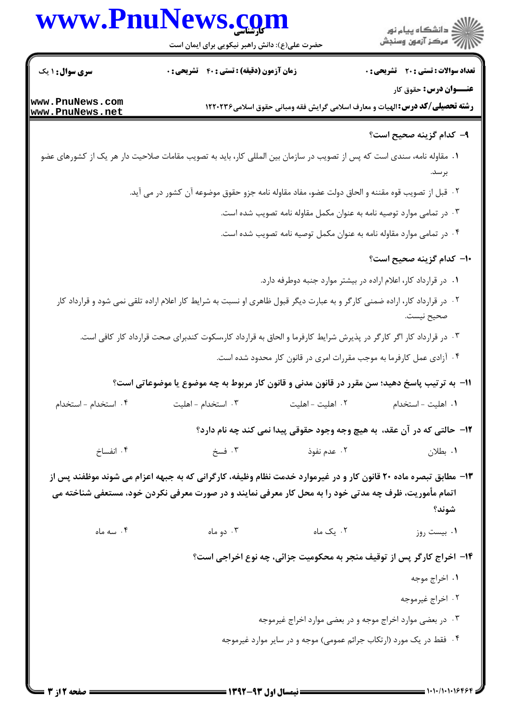

حضرت علي(ع): دانش راهبر نيكويي براي ايمان است

**تعداد سوالات : تستي : 20 ٪ تشريحي : 0** 

**عنـــوان درس:** حقوق کار

**زمان آزمون (دقیقه) : تستی : 40 گشریحی : 0** 

**سری سوال :** ۱ یک

www.PnuNews.com www.PnuNews.net

**رشته تحصیلی/کد درس:**الهیات و معارف اسلامی گرایش فقه ومبانی حقوق اسلامی1۲۲۰۲۳۶

## ۹– کدام گزینه صحیح است؟

- ۰۱ مقاوله نامه، سندی است که پس از تصویب در سازمان بین المللی کار، باید به تصویب مقامات صلاحیت دار هر یک از کشورهای عضو
	- ٢ . قبل از تصويب قوه مقننه و الحاق دولت عضو، مفاد مقاوله نامه جزو حقوق موضوعه آن كشور در مي آيد.
		- ۰۳ در تمامی موارد توصیه نامه به عنوان مکمل مقاوله نامه تصویب شده است.
		- ۰۴ در تمامی موارد مقاوله نامه به عنوان مکمل توصیه نامه تصویب شده است.

١٠- كدام گزينه صحيح است؟

- ۰۱ در قرارداد کار، اعلام اراده در بیشتر موارد جنبه دوطرفه دارد.
- ۲۰ در قرارداد کار، اراده ضمنی کارگر و به عبارت دیگر قبول ظاهری او نسبت به شرایط کار اعلام اراده تلقی نمی شود و قرارداد کار صحيح نيست.
	- ۰۳ در قرارداد کار اگر کارگر در پذیرش شرایط کارفرما و الحاق به قرارداد کار،سکوت کندبرای صحت قرارداد کار کافی است.
		- ۰۴ آزادی عمل کارفرما به موجب مقررات امری در قانون کار محدود شده است.

1١− به ترتیب پاسخ دهید؛ سن مقرر در قانون مدنی و قانون کار مربوط به چه موضوع یا موضوعاتی است؟

| ۰۴ استخدام - استخدام | ۰۳ استخدام - اهلیت | ۰۲ اهلیت - اهلیت | ۰۱ اهلیت - استخدام |
|----------------------|--------------------|------------------|--------------------|
|                      |                    |                  |                    |

۱۲- حالتي که در آن عقد، به هيچ وجه وجود حقوقي پيدا نمي کند چه نام دارد؟

- ۰۳ فسخ ۰۴ انفساخ ۰۲ عدم نفوذ ۰۱. بطلان
- ۱۳- مطابق تبصره ماده ۲۰ قانون کار و در غیرموارد خدمت نظام وظیفه، کارگرانی که به جبهه اعزام می شوند موظفند پس از اتمام مأموريت، ظرف چه مدتي خود را به محل کار معرفي نمايند و در صورت معرفي نکردن خود، مستعفي شناخته مي شوند؟

۰۴ سه ماه ۰۲ یک ماه ۰۳ دو ماه ۰۱ بیست روز

۱۴- اخراج کارگر پس از توقیف منجر به محکومیت جزائی، چه نوع اخراجی است؟

- ۱. اخراج موجه
- ٢. اخراج غيرموجه
- ۰۳ در بعضی موارد اخراج موجه و در بعضی موارد اخراج غیرموجه
- ۰۴ فقط در یک مورد (ارتکاب جرائم عمومی) موجه و در سایر موارد غیرموجه